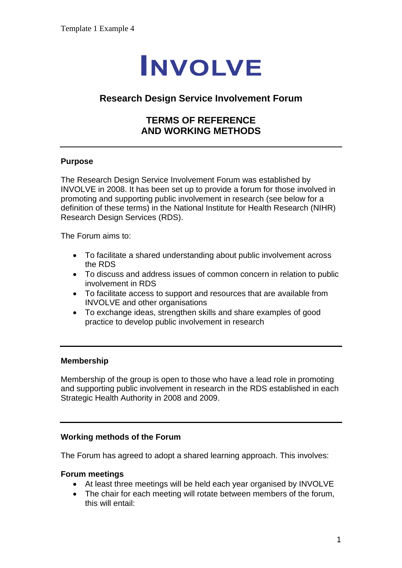# **INVOLVE**

## **Research Design Service Involvement Forum**

## **TERMS OF REFERENCE AND WORKING METHODS**

#### **Purpose**

The Research Design Service Involvement Forum was established by INVOLVE in 2008. It has been set up to provide a forum for those involved in promoting and supporting public involvement in research (see below for a definition of these terms) in the National Institute for Health Research (NIHR) Research Design Services (RDS).

The Forum aims to:

- To facilitate a shared understanding about public involvement across the RDS
- To discuss and address issues of common concern in relation to public involvement in RDS
- To facilitate access to support and resources that are available from INVOLVE and other organisations
- To exchange ideas, strengthen skills and share examples of good practice to develop public involvement in research

#### **Membership**

Membership of the group is open to those who have a lead role in promoting and supporting public involvement in research in the RDS established in each Strategic Health Authority in 2008 and 2009.

#### **Working methods of the Forum**

The Forum has agreed to adopt a shared learning approach. This involves:

#### **Forum meetings**

- At least three meetings will be held each year organised by INVOLVE
- The chair for each meeting will rotate between members of the forum, this will entail: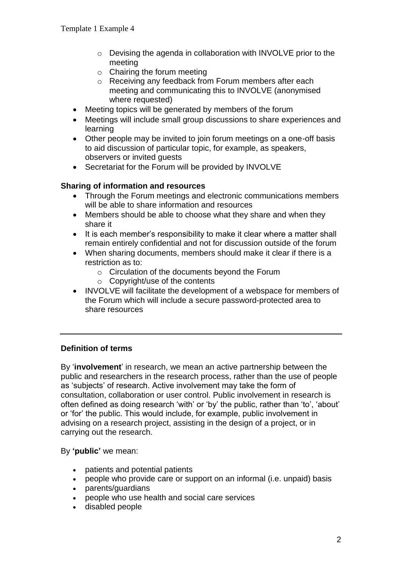- o Devising the agenda in collaboration with INVOLVE prior to the meeting
- $\circ$  Chairing the forum meeting
- o Receiving any feedback from Forum members after each meeting and communicating this to INVOLVE (anonymised where requested)
- Meeting topics will be generated by members of the forum
- Meetings will include small group discussions to share experiences and learning
- Other people may be invited to join forum meetings on a one-off basis to aid discussion of particular topic, for example, as speakers, observers or invited guests
- Secretariat for the Forum will be provided by INVOLVE

#### **Sharing of information and resources**

- Through the Forum meetings and electronic communications members will be able to share information and resources
- Members should be able to choose what they share and when they share it
- It is each member's responsibility to make it clear where a matter shall remain entirely confidential and not for discussion outside of the forum
- When sharing documents, members should make it clear if there is a restriction as to:
	- o Circulation of the documents beyond the Forum
	- o Copyright/use of the contents
- INVOLVE will facilitate the development of a webspace for members of the Forum which will include a secure password-protected area to share resources

### **Definition of terms**

By '**involvement**' in research, we mean an active partnership between the public and researchers in the research process, rather than the use of people as 'subjects' of research. Active involvement may take the form of consultation, collaboration or user control. Public involvement in research is often defined as doing research 'with' or 'by' the public, rather than 'to', 'about' or 'for' the public. This would include, for example, public involvement in advising on a research project, assisting in the design of a project, or in carrying out the research.

By **'public'** we mean:

- patients and potential patients
- people who provide care or support on an informal (i.e. unpaid) basis
- parents/guardians
- people who use health and social care services
- disabled people